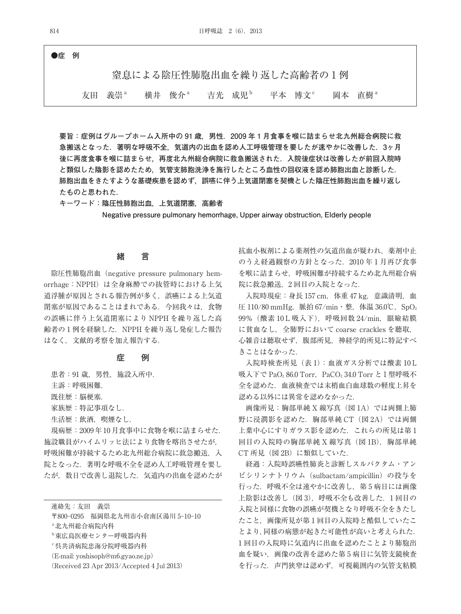**●症 例**

窒息による陰圧性肺胞出血を繰り返した高齢者の 1 例

友田 義崇<sup>a</sup> 横井 俊介<sup>a</sup> 吉光 成児<sup>b</sup> 平本 博文<sup>c</sup> 岡本 直樹<sup>a</sup>

**要旨:症例はグループホーム入所中の 91 歳,男性.2009 年 1 月食事を喉に詰まらせ北九州総合病院に救 急搬送となった.著明な呼吸不全,気道内の出血を認め人工呼吸管理を要したが速やかに改善した.3ヶ月 後に再度食事を喉に詰まらせ,再度北九州総合病院に救急搬送された.入院後症状は改善したが前回入院時 と類似した陰影を認めたため,気管支肺胞洗浄を施行したところ血性の回収液を認め肺胞出血と診断した.** 肺胞出血をきたすような基礎疾患を認めず,誤嚥に伴う上気道閉塞を契機とした陰圧性肺胞出血を繰り返し **たものと思われた.**

**キーワード:陰圧性肺胞出血,上気道閉塞,高齢者**

**Negative pressure pulmonary hemorrhage, Upper airway obstruction, Elderly people**

# **緒 言**

陰圧性肺胞出血(negative pressure pulmonary hemorrhage: NPPH)は全身麻酔での抜管時における上気 道浮腫が原因とされる報告例が多く,誤嚥による上気道 閉塞が原因であることはまれである. 今回我々は、食物 の誤嚥に伴う上気道閉塞により NPPH を繰り返した高 齢者の 1 例を経験した.NPPH を繰り返し発症した報告 はなく,文献的考察を加え報告する.

## **症 例**

患者: 91 歳, 男性, 施設入所中.

主訴:呼吸困難.

既往歴:脳伷塞.

家族歴:特記事項なし.

生活歴:飲酒,喫煙なし.

現病歴:2009 年 10 月食事中に食物を喉に詰まらせた. 施設職員がハイムリッヒ法により食物を喀出させたが, 呼吸困難が持続するため北九州総合病院に救急搬送,入 院となった.著明な呼吸不全を認め人工呼吸管理を要し たが,数日で改善し退院した.気道内の出血を認めたが

連絡先:友田 義崇

〒800-0295 福岡県北九州市小倉南区湯川 5-10-10

a北九州総合病院内科

- b東広島医療センター呼吸器内科
- c呉共済病院忠海分院呼吸器内科
- (E-mail: yoshisoph@m6.gyao.ne.jp)
- (Received 23 Apr 2013/Accepted 4 Jul 2013)

抗血小板剤による薬剤性の気道出血が疑われ,薬剤中止 のうえ経過観察の方針となった. 2010年1月再び食事 を喉に詰まらせ,呼吸困難が持続するため北九州総合病 院に救急搬送,2 回目の入院となった.

入院時現症:身長 157 cm,体重 47 kg,意識清明,血 圧 110/80 mmHg, 脈拍 67/min・整, 体温 36.0℃, SpO<sub>2</sub> 99% (酸素 10 L 吸入下), 呼吸回数 24/min, 眼瞼結膜 に貧血なし,全肺野において coarse crackles を聴取, 心雑音は聴取せず,腹部所見,神経学的所見に特記すべ きことはなかった.

入院時検査所見 (表1): 血液ガス分析では酸素 10L 吸入下で PaO<sub>2</sub> 86.0 Torr, PaCO<sub>2</sub> 34.0 Torr と I 型呼吸不 全を認めた.血液検査では末梢血白血球数の軽度上昇を 認める以外には異常を認めなかった.

画像所見:胸部単純 X 線写真(図 1A)では両側上肺 野に浸潤影を認めた. 胸部単純 CT (図 2A) では両側 上葉中心にすりガラス影を認めた. これらの所見は第1 回目の入院時の胸部単純 X 線写真(図 1B),胸部単純 CT 所見 (図 2B) に類似していた.

経過:入院時誤嚥性肺炎と診断しスルバクタム・アン ピシリンナトリウム(sulbactam/ampicillin)の投与を 行った. 呼吸不全は速やかに改善し、第5病日には画像 上陰影は改善し(図 3),呼吸不全も改善した.1 回目の 入院と同様に食物の誤嚥が契機となり呼吸不全をきたし たこと,画像所見が第 1 回目の入院時と酷似していたこ とより,同様の病態が起きた可能性が高いと考えられた. 1 回目の入院時に気道内に出血を認めたことより肺胞出 血を疑い,画像の改善を認めた第 5 病日に気管支鏡検査 を行った.声門狭窄は認めず,可視範囲内の気管支粘膜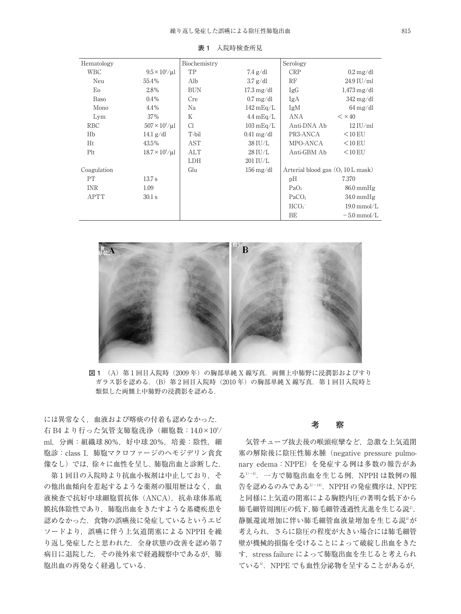| Hematology  |                              | Biochemistry |                                 | Serology                                     |                                 |
|-------------|------------------------------|--------------|---------------------------------|----------------------------------------------|---------------------------------|
| <b>WBC</b>  | $9.5 \times 10^{3} / \mu$ l  | TP           | $7.4 \text{ g}/\text{d}l$       | <b>CRP</b>                                   | $0.2 \,\mathrm{mg}/\mathrm{dl}$ |
| Neu         | 55.4%                        | Alb          | $3.7$ g/dl                      | RF                                           | $24.9$ IU/ml                    |
| Eo          | 2.8%                         | <b>BUN</b>   | $17.3 \,\mathrm{mg/dl}$         | IgG                                          | $1.473 \,\mathrm{mg/dl}$        |
| <b>Baso</b> | $0.4\%$                      | Cre          | $0.7 \,\mathrm{mg}/\mathrm{dl}$ | IgA                                          | $342 \,\mathrm{mg/dl}$          |
| Mono        | 4.4%                         | Na           | $142 \,\mathrm{mEq/L}$          | IgM                                          | $64 \,\mathrm{mg}/\mathrm{dl}$  |
| Lym         | 37%                          | Κ            | $4.4 \text{ mEq/L}$             | ANA                                          | $\leq$ $\times$ 40              |
| <b>RBC</b>  | $507 \times 10^{4} / \mu$ l  | C1           | $103 \text{ mEq/L}$             | Anti-DNA Ab                                  | $12$ IU/ml                      |
| Hb          | $14.1$ g/dl                  | T-bil        | $0.41 \,\mathrm{mg/dl}$         | PR3-ANCA                                     | $<$ 10 EU                       |
| Ht          | 43.5%                        | AST          | 38 IU/L                         | MPO-ANCA                                     | $<$ 10 EU                       |
| Plt         | $18.7 \times 10^{4} / \mu$ l | ALT          | $28$ IU/L                       | Anti-GBM Ab                                  | $<$ 10 EU                       |
|             |                              | LDH          | 201 IU/L                        |                                              |                                 |
| Coagulation |                              | Glu          | $156 \,\mathrm{mg}/\mathrm{dl}$ | Arterial blood gas $(O_2 10 L \text{ mask})$ |                                 |
| <b>PT</b>   | 13.7 s                       |              |                                 | pН                                           | 7.370                           |
| <b>INR</b>  | 1.09                         |              |                                 | PaO <sub>2</sub>                             | $86.0 \text{ mmHg}$             |
| APTT        | $30.1$ s                     |              |                                 | PaCO <sub>2</sub>                            | $34.0 \text{ mmHg}$             |
|             |                              |              |                                 | HCO <sub>3</sub>                             | $19.0 \text{ mmol/L}$           |
|             |                              |              |                                 | BE                                           | $-5.0$ mmol/L                   |

**表 1** 入院時検査所見



図1 (A) 第1回目入院時(2009年)の胸部単純 X 線写真. 両側上中肺野に浸潤影およびすり ガラス影を認める. (B) 第2回目入院時(2010年)の胸部単純 X 線写真. 第1回目入院時と 類似した両側上中肺野の浸潤影を認める.

には異常なく,血液および喀痰の付着も認めなかった. 右 B4 より行った気管支肺胞洗浄(細胞数:14.0×10<sup>5</sup>/ ml,分画:組織球 80%,好中球 20%,培養:陰性,細 胞診:class I,肺胞マクロファージのヘモジデリン貪食 像なし)では,徐々に血性を呈し,肺胞出血と診断した.

第1回目の入院時より抗血小板剤は中止しており、そ の他出血傾向を惹起するような薬剤の服用歴はなく、血 液検査で抗好中球細胞質抗体(ANCA),抗糸球体基底 膜抗体陰性であり,肺胞出血をきたすような基礎疾患を 認めなかった.食物の誤嚥後に発症しているというエピ ソードより,誤嚥に伴う上気道閉塞による NPPH を繰 り返し発症したと思われた. 全身状態の改善を認め第7 病日に退院した. その後外来で経過観察中であるが、肺 胞出血の再発なく経過している.

### **考 察**

気管チューブ抜去後の喉頭痙攣など,急激な上気道閉 塞の解除後に陰圧性肺水腫(negative pressure pulmonary edema: NPPE) を発症する例は多数の報告があ る<sup>1)~4)</sup>. 一方で肺胞出血を生じる例,NPPH は数例の報 告を認めるのみである $5^{\circ}$ ~14).NPPH の発症機序は, NPPE と同様に上気道の閉塞による胸腔内圧の著明な低下から 肺毛細管周囲圧の低下, 肺毛細管透過性亢進を生じる説<sup>2)</sup>, 静脈還流増加に伴い肺毛細管血液量増加を生じる説 $^4$ が 考えられ,さらに陰圧の程度が大きい場合には肺毛細管 壁が機械的損傷を受けることによって破綻し出血をきた す. stress failure によって肺胞出血を生じると考えられ ている5. NPPE でも血性分泌物を呈することがあるが,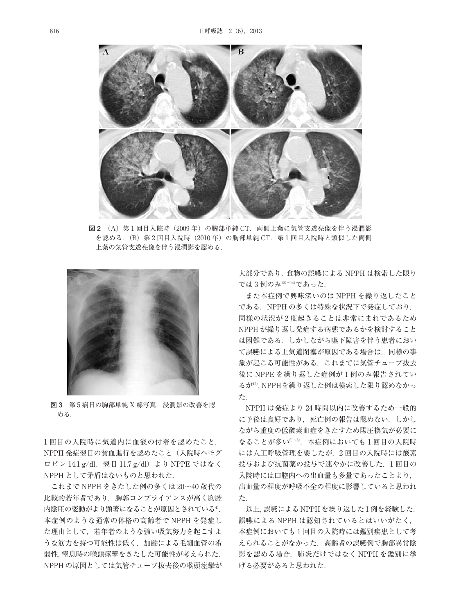

**図 2** (A)第 1 回目入院時(2009 年)の胸部単純 CT.両側上葉に気管支透亮像を伴う浸潤影 を認める. (B) 第2回目入院時 (2010年)の胸部単純 CT. 第1回目入院時と類似した両側 上葉の気管支透亮像を伴う浸潤影を認める.



**図 3** 第 5 病日の胸部単純 X 線写真.浸潤影の改善を認 める.

1 回目の入院時に気道内に血液の付着を認めたこと, NPPH 発症翌日の貧血進行を認めたこと(入院時ヘモグ ロビン 14.1 g/dl, 翌日 11.7 g/dl) より NPPE ではなく NPPH として矛盾はないものと思われた.

これまで NPPH をきたした例の多くは 20~40 歳代の 比較的若年者であり,胸郭コンプライアンスが高く胸腔 内陰圧の変動がより顕著になることが原因とされている4). 本症例のような通常の体格の高齢者で NPPH を発症し た理由として,若年者のような強い吸気努力を起こすよ うな筋力を持つ可能性は低く,加齢による毛細血管の希 弱性,窒息時の喉頭痙攣をきたした可能性が考えられた. NPPH の原因としては気管チューブ抜去後の喉頭痙攣が

大部分であり,食物の誤嚥による NPPH は検索した限り では 3 例のみ12)~14) であった.

また本症例で興味深いのは NPPH を繰り返したこと である.NPPH の多くは特殊な状況下で発症しており, 同様の状況が 2 度起きることは非常にまれであるため NPPH が繰り返し発症する病態であるかを検討すること は困難である.しかしながら嚥下障害を伴う患者におい て誤嚥による上気道閉塞が原因である場合は,同様の事 象が起こる可能性がある.これまでに気管チューブ抜去 後に NPPE を繰り返した症例が 1 例のみ報告されてい るが15) ,NPPHを繰り返した例は検索した限り認めなかっ た.

NPPH は発症より 24 時間以内に改善するため一般的 に予後は良好であり. 死亡例の報告は認めない. しかし ながら重度の低酸素血症をきたすため陽圧換気が必要に なることが多い5^8).本症例においても1回目の入院時 には人工呼吸管理を要したが,2 回目の入院時には酸素 投与および抗菌薬の投与で速やかに改善した.1 回目の 入院時には口腔内への出血量も多量であったことより, 出血量の程度が呼吸不全の程度に影響していると思われ た.

以上,誤嚥による NPPH を繰り返した 1 例を経験した. 誤嚥による NPPH は認知されているとはいいがたく, 本症例においても 1 回目の入院時には鑑別疾患として考 えられることがなかった.高齢者の誤嚥例で胸部異常陰 影を認める場合,肺炎だけではなく NPPH を鑑別に挙 げる必要があると思われた.